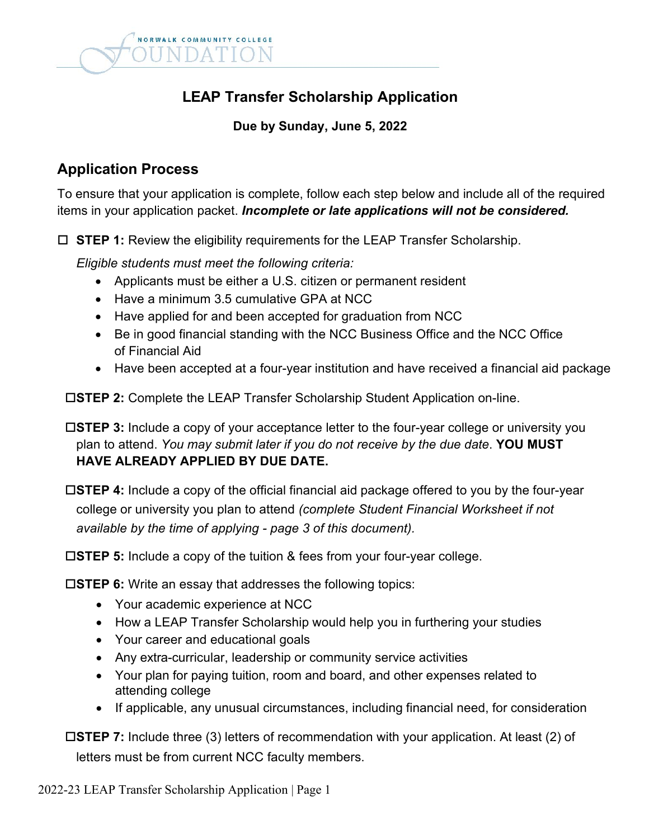

# **LEAP Transfer Scholarship Application**

#### **Due by Sunday, June 5, 2022**

## **Application Process**

To ensure that your application is complete, follow each step below and include all of the required items in your application packet. *Incomplete or late applications will not be considered.*

□ STEP 1: Review the eligibility requirements for the LEAP Transfer Scholarship.

*Eligible students must meet the following criteria:*

- Applicants must be either a U.S. citizen or permanent resident
- Have a minimum 3.5 cumulative GPA at NCC
- Have applied for and been accepted for graduation from NCC
- Be in good financial standing with the NCC Business Office and the NCC Office of Financial Aid
- Have been accepted at a four-year institution and have received a financial aid package

**STEP 2:** Complete the LEAP Transfer Scholarship Student Application on-line.

**STEP 3:** Include a copy of your acceptance letter to the four-year college or university you plan to attend. *You may submit later if you do not receive by the due date*. **YOU MUST HAVE ALREADY APPLIED BY DUE DATE.**

**STEP 4:** Include a copy of the official financial aid package offered to you by the four-year college or university you plan to attend *(complete Student Financial Worksheet if not available by the time of applying - page 3 of this document).*

**STEP 5:** Include a copy of the tuition & fees from your four-year college.

**STEP 6:** Write an essay that addresses the following topics:

- Your academic experience at NCC
- How a LEAP Transfer Scholarship would help you in furthering your studies
- Your career and educational goals
- Any extra-curricular, leadership or community service activities
- Your plan for paying tuition, room and board, and other expenses related to attending college
- If applicable, any unusual circumstances, including financial need, for consideration

**STEP 7:** Include three (3) letters of recommendation with your application. At least (2) of letters must be from current NCC faculty members.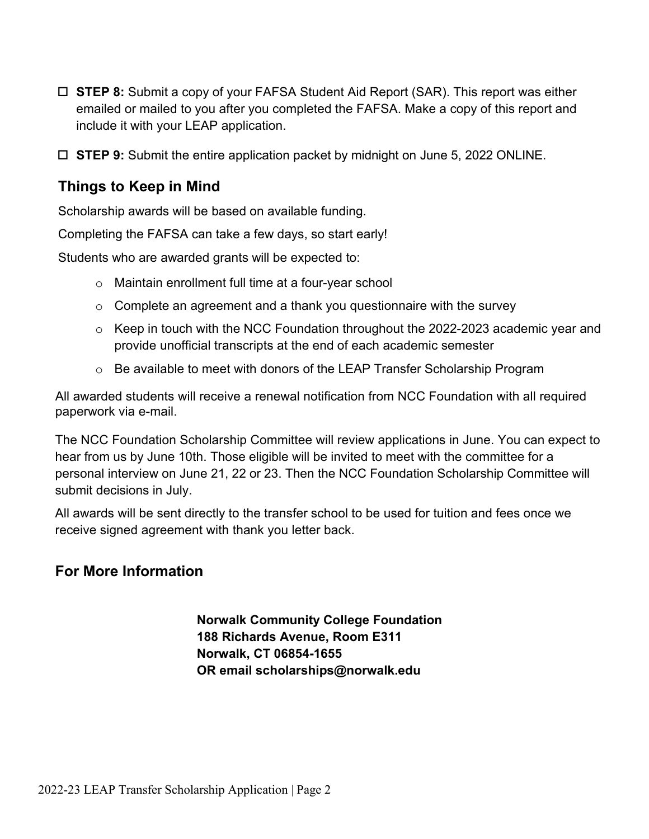- **STEP 8:** Submit a copy of your FAFSA Student Aid Report (SAR). This report was either emailed or mailed to you after you completed the FAFSA. Make a copy of this report and include it with your LEAP application.
- **STEP 9:** Submit the entire application packet by midnight on June 5, 2022 ONLINE.

### **Things to Keep in Mind**

Scholarship awards will be based on available funding.

Completing the FAFSA can take a few days, so start early!

Students who are awarded grants will be expected to:

- o Maintain enrollment full time at a four-year school
- $\circ$  Complete an agreement and a thank you questionnaire with the survey
- o Keep in touch with the NCC Foundation throughout the 2022-2023 academic year and provide unofficial transcripts at the end of each academic semester
- o Be available to meet with donors of the LEAP Transfer Scholarship Program

All awarded students will receive a renewal notification from NCC Foundation with all required paperwork via e-mail.

The NCC Foundation Scholarship Committee will review applications in June. You can expect to hear from us by June 10th. Those eligible will be invited to meet with the committee for a personal interview on June 21, 22 or 23. Then the NCC Foundation Scholarship Committee will submit decisions in July.

All awards will be sent directly to the transfer school to be used for tuition and fees once we receive signed agreement with thank you letter back.

#### **For More Information**

**Norwalk Community College Foundation 188 Richards Avenue, Room E311 Norwalk, CT 06854-1655 OR email scholarships@norwalk.edu**